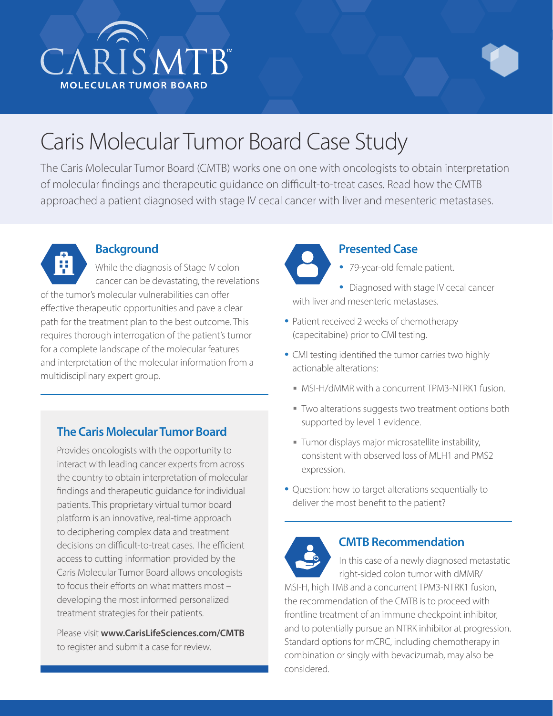



# Caris Molecular Tumor Board Case Study

The Caris Molecular Tumor Board (CMTB) works one on one with oncologists to obtain interpretation of molecular findings and therapeutic guidance on difficult-to-treat cases. Read how the CMTB approached a patient diagnosed with stage IV cecal cancer with liver and mesenteric metastases.



## **Background**

While the diagnosis of Stage IV colon cancer can be devastating, the revelations of the tumor's molecular vulnerabilities can offer effective therapeutic opportunities and pave a clear path for the treatment plan to the best outcome. This requires thorough interrogation of the patient's tumor for a complete landscape of the molecular features and interpretation of the molecular information from a multidisciplinary expert group.

# **The Caris Molecular Tumor Board**

Provides oncologists with the opportunity to interact with leading cancer experts from across the country to obtain interpretation of molecular findings and therapeutic guidance for individual patients. This proprietary virtual tumor board platform is an innovative, real-time approach to deciphering complex data and treatment decisions on difficult-to-treat cases. The efficient access to cutting information provided by the Caris Molecular Tumor Board allows oncologists to focus their efforts on what matters most – developing the most informed personalized treatment strategies for their patients.

Please visit **www.CarisLifeSciences.com/CMTB** to register and submit a case for review.

**Presented Case**

• 79-year-old female patient.

• Diagnosed with stage IV cecal cancer with liver and mesenteric metastases.

- Patient received 2 weeks of chemotherapy (capecitabine) prior to CMI testing.
- CMI testing identified the tumor carries two highly actionable alterations:
	- MSI-H/dMMR with a concurrent TPM3-NTRK1 fusion.
	- Two alterations suggests two treatment options both supported by level 1 evidence.
	- Tumor displays major microsatellite instability, consistent with observed loss of MLH1 and PMS2 expression.
- Question: how to target alterations sequentially to deliver the most benefit to the patient?



#### **CMTB Recommendation**

In this case of a newly diagnosed metastatic right-sided colon tumor with dMMR/

MSI-H, high TMB and a concurrent TPM3-NTRK1 fusion, the recommendation of the CMTB is to proceed with frontline treatment of an immune checkpoint inhibitor, and to potentially pursue an NTRK inhibitor at progression. Standard options for mCRC, including chemotherapy in combination or singly with bevacizumab, may also be considered.